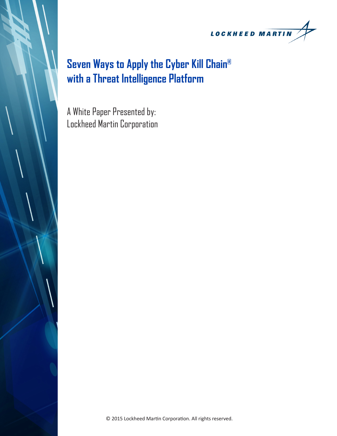

# **Seven Ways to Apply the Cyber Kill Chain® with a Threat Intelligence Platform**

A White Paper Presented by: Lockheed Martin Corporation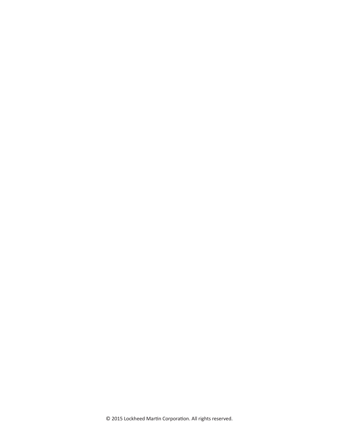© 2015 Lockheed Martin Corporation. All rights reserved.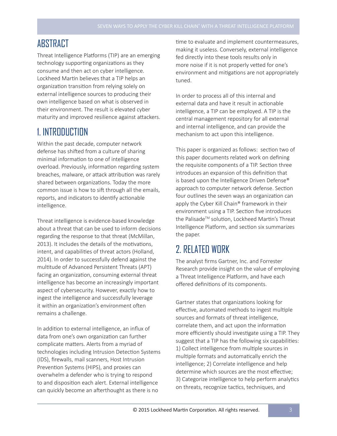#### **ARSTRACT**

Threat Intelligence Platforms (TIP) are an emerging technology supporting organizations as they consume and then act on cyber intelligence. Lockheed Martin believes that a TIP helps an organization transition from relying solely on external intelligence sources to producing their own intelligence based on what is observed in their environment. The result is elevated cyber maturity and improved resilience against attackers.

#### 1. INTRODUCTION

Within the past decade, computer network defense has shifted from a culture of sharing minimal information to one of intelligence overload. Previously, information regarding system breaches, malware, or attack attribution was rarely shared between organizations. Today the more common issue is how to sift through all the emails, reports, and indicators to identify actionable intelligence.

Threat intelligence is evidence-based knowledge about a threat that can be used to inform decisions regarding the response to that threat (McMillan, 2013). It includes the details of the motivations, intent, and capabilities of threat actors (Holland, 2014). In order to successfully defend against the multitude of Advanced Persistent Threats (APT) facing an organization, consuming external threat intelligence has become an increasingly important aspect of cybersecurity. However, exactly how to ingest the intelligence and successfully leverage it within an organization's environment often remains a challenge.

In addition to external intelligence, an influx of data from one's own organization can further complicate matters. Alerts from a myriad of technologies including Intrusion Detection Systems (IDS), firewalls, mail scanners, Host Intrusion Prevention Systems (HIPS), and proxies can overwhelm a defender who is trying to respond to and disposition each alert. External intelligence can quickly become an afterthought as there is no

time to evaluate and implement countermeasures, making it useless. Conversely, external intelligence fed directly into these tools results only in more noise if it is not properly vetted for one's environment and mitigations are not appropriately tuned.

In order to process all of this internal and external data and have it result in actionable intelligence, a TIP can be employed. A TIP is the central management repository for all external and internal intelligence, and can provide the mechanism to act upon this intelligence.

This paper is organized as follows: section two of this paper documents related work on defining the requisite components of a TIP. Section three introduces an expansion of this definition that is based upon the Intelligence Driven Defense® approach to computer network defense. Section four outlines the seven ways an organization can apply the Cyber Kill Chain® framework in their environment using a TIP. Section five introduces the Palisade™ solution, Lockheed Martin's Threat Intelligence Platform, and section six summarizes the paper.

#### 2. RELATED WORK

The analyst firms Gartner, Inc. and Forrester Research provide insight on the value of employing a Threat Intelligence Platform, and have each offered definitions of its components.

Gartner states that organizations looking for effective, automated methods to ingest multiple sources and formats of threat intelligence, correlate them, and act upon the information more efficiently should investigate using a TIP. They suggest that a TIP has the following six capabilities: 1) Collect intelligence from multiple sources in multiple formats and automatically enrich the intelligence; 2) Correlate intelligence and help determine which sources are the most effective; 3) Categorize intelligence to help perform analytics on threats, recognize tactics, techniques, and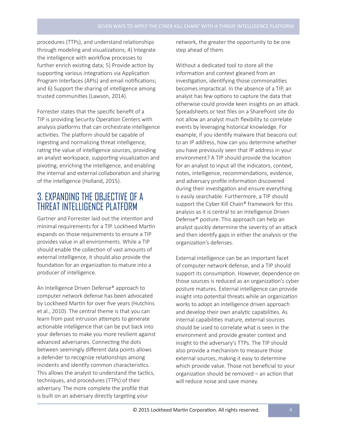procedures (TTPs), and understand relationships through modeling and visualizations; 4) Integrate the intelligence with workflow processes to further enrich existing data; 5) Provide action by supporting various integrations via Application Program Interfaces (APIs) and email notifications; and 6) Support the sharing of intelligence among trusted communities (Lawson, 2014).

Forrester states that the specific benefit of a TIP is providing Security Operation Centers with analysis platforms that can orchestrate intelligence activities. The platform should be capable of ingesting and normalizing threat intelligence, rating the value of intelligence sources, providing an analyst workspace, supporting visualization and pivoting, enriching the intelligence, and enabling the internal and external collaboration and sharing of the intelligence (Holland, 2015).

#### 3. EXPANDING THE OBJECTIVE OF A THREAT INTELLIGENCE PLATFORM

Gartner and Forrester laid out the intention and minimal requirements for a TIP. Lockheed Martin expands on those requirements to ensure a TIP provides value in all environments. While a TIP should enable the collection of vast amounts of external intelligence, it should also provide the foundation for an organization to mature into a producer of intelligence.

An Intelligence Driven Defense® approach to computer network defense has been advocated by Lockheed Martin for over five years (Hutchins et al., 2010). The central theme is that you can learn from past intrusion attempts to generate actionable intelligence that can be put back into your defenses to make you more resilient against advanced adversaries. Connecting the dots between seemingly different data points allows a defender to recognize relationships among incidents and identify common characteristics. This allows the analyst to understand the tactics, techniques, and procedures (TTPs) of their adversary. The more complete the profile that is built on an adversary directly targeting your

network, the greater the opportunity to be one step ahead of them.

Without a dedicated tool to store all the information and context gleaned from an investigation, identifying those commonalities becomes impractical. In the absence of a TIP, an analyst has few options to capture the data that otherwise could provide keen insights on an attack. Spreadsheets or text files on a SharePoint site do not allow an analyst much flexibility to correlate events by leveraging historical knowledge. For example, if you identify malware that beacons out to an IP address, how can you determine whether you have previously seen that IP address in your environment? A TIP should provide the location for an analyst to input all the indicators, context, notes, intelligence, recommendations, evidence, and adversary profile information discovered during their investigation and ensure everything is easily searchable. Furthermore, a TIP should support the Cyber Kill Chain® framework for this analysis as it is central to an Intelligence Driven Defense® posture. This approach can help an analyst quickly determine the severity of an attack and then identify gaps in either the analysis or the organization's defenses.

External intelligence can be an important facet of computer network defense, and a TIP should support its consumption. However, dependence on those sources is reduced as an organization's cyber posture matures. External intelligence can provide insight into potential threats while an organization works to adopt an intelligence driven approach and develop their own analytic capabilities. As internal capabilities mature, external sources should be used to correlate what is seen in the environment and provide greater context and insight to the adversary's TTPs. The TIP should also provide a mechanism to measure those external sources, making it easy to determine which provide value. Those not beneficial to your organization should be removed – an action that will reduce noise and save money.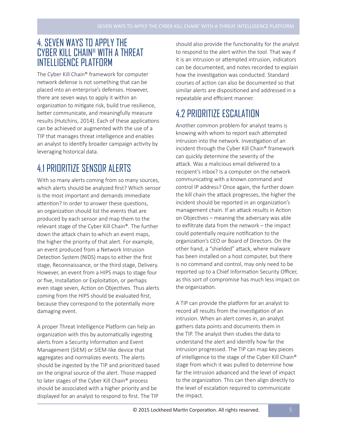#### 4. SEVEN WAYS TO APPLY THE CYBER KILL CHAIN® WITH A THREAT INTELLIGENCE PLATFORM

The Cyber Kill Chain® framework for computer network defense is not something that can be placed into an enterprise's defenses. However, there are seven ways to apply it within an organization to mitigate risk, build true resilience, better communicate, and meaningfully measure results (Hutchins, 2014). Each of these applications can be achieved or augmented with the use of a TIP that manages threat intelligence and enables an analyst to identify broader campaign activity by leveraging historical data.

#### 4.1 PRIORITIZE SENSOR ALERTS

With so many alerts coming from so many sources, which alerts should be analyzed first? Which sensor is the most important and demands immediate attention? In order to answer these questions, an organization should list the events that are produced by each sensor and map them to the relevant stage of the Cyber Kill Chain®. The further down the attack chain to which an event maps, the higher the priority of that alert. For example, an event produced from a Network Intrusion Detection System (NIDS) maps to either the first stage, Reconnaissance, or the third stage, Delivery. However, an event from a HIPS maps to stage four or five, Installation or Exploitation, or perhaps even stage seven, Action on Objectives. Thus alerts coming from the HIPS should be evaluated first, because they correspond to the potentially more damaging event.

A proper Threat Intelligence Platform can help an organization with this by automatically ingesting alerts from a Security Information and Event Management (SIEM) or SIEM-like device that aggregates and normalizes events. The alerts should be ingested by the TIP and prioritized based on the original source of the alert. Those mapped to later stages of the Cyber Kill Chain® process should be associated with a higher priority and be displayed for an analyst to respond to first. The TIP

should also provide the functionality for the analyst to respond to the alert within the tool. That way if it is an intrusion or attempted intrusion, indicators can be documented, and notes recorded to explain how the investigation was conducted. Standard courses of action can also be documented so that similar alerts are dispositioned and addressed in a repeatable and efficient manner.

#### 4.2 PRIORITIZE ESCALATION

Another common problem for analyst teams is knowing with whom to report each attempted intrusion into the network. Investigation of an incident through the Cyber Kill Chain® framework can quickly determine the severity of the attack. Was a malicious email delivered to a recipient's inbox? Is a computer on the network communicating with a known command and control IP address? Once again, the further down the kill chain the attack progresses, the higher the incident should be reported in an organization's management chain. If an attack results in Action on Objectives – meaning the adversary was able to exfiltrate data from the network – the impact could potentially require notification to the organization's CEO or Board of Directors. On the other hand, a "shielded" attack, where malware has been installed on a host computer, but there is no command and control, may only need to be reported up to a Chief Information Security Officer, as this sort of compromise has much less impact on the organization.

A TIP can provide the platform for an analyst to record all results from the investigation of an intrusion. When an alert comes in, an analyst gathers data points and documents them in the TIP. The analyst then studies the data to understand the alert and identify how far the intrusion progressed. The TIP can map key pieces of intelligence to the stage of the Cyber Kill Chain® stage from which it was pulled to determine how far the intrusion advanced and the level of impact to the organization. This can then align directly to the level of escalation required to communicate the impact.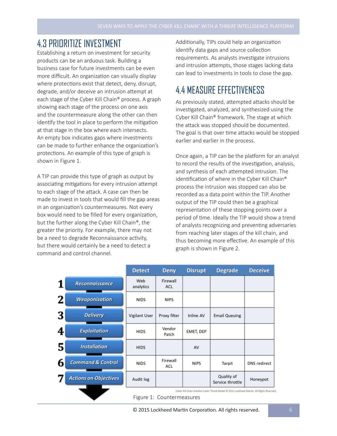#### 4.3 PRIORITIZE INVESTMENT

Establishing a return on investment for security products can be an arduous task. Building a business case for future investments can be even more difficult. An organization can visually display where protections exist that detect, deny, disrupt, degrade, and/or deceive an intrusion attempt at each stage of the Cyber Kill Chain® process. A graph showing each stage of the process on one axis and the countermeasure along the other can then identify the tool in place to perform the mitigation at that stage in the box where each intersects. An empty box indicates gaps where investments can be made to further enhance the organization's protections. An example of this type of graph is shown in Figure 1.

A TIP can provide this type of graph as output by associating mitigations for every intrusion attempt to each stage of the attack. A case can then be made to invest in tools that would fill the gap areas in an organization's countermeasures. Not every box would need to be filled for every organization, but the further along the Cyber Kill Chain®, the greater the priority. For example, there may not be a need to degrade Reconnaissance activity, but there would certainly be a need to detect a command and control channel.

Additionally, TIPs could help an organization identify data gaps and source collection requirements. As analysts investigate intrusions and intrusion attempts, those stages lacking data can lead to investments in tools to close the gap.

#### 4.4 MEASURE EFFECTIVENESS

As previously stated, attempted attacks should be investigated, analyzed, and synthesized using the Cyber Kill Chain® framework. The stage at which the attack was stopped should be documented. The goal is that over time attacks would be stopped earlier and earlier in the process.

Once again, a TIP can be the platform for an analyst to record the results of the investigation, analysis, and synthesis of each attempted intrusion. The identification of where in the Cyber Kill Chain® process the intrusion was stopped can also be recorded as a data point within the TIP. Another output of the TIP could then be a graphical representation of these stopping points over a period of time. Ideally the TIP would show a trend of analysts recognizing and preventing adversaries from reaching later stages of the kill chain, and thus becoming more effective. An example of this graph is shown in Figure 2.

|                                   | <b>Detect</b>                                                                             | <b>Deny</b>     | <b>Disrupt</b>   | <b>Degrade</b>                 | <b>Deceive</b>      |  |
|-----------------------------------|-------------------------------------------------------------------------------------------|-----------------|------------------|--------------------------------|---------------------|--|
| Reconnaissance                    | Web<br>analytics                                                                          | Firewall<br>ACL |                  |                                |                     |  |
| 2<br><b>Weaponization</b>         | <b>NIDS</b>                                                                               | <b>NIPS</b>     |                  |                                |                     |  |
| 3<br><b>Delivery</b>              | Vigilant User                                                                             | Proxy filter    | <b>Inline AV</b> | <b>Email Queuing</b>           |                     |  |
| <b>Exploitation</b><br>4          | <b>HIDS</b>                                                                               | Vendor<br>Patch | EMET, DEP        |                                |                     |  |
| 5<br><b>Installation</b>          | <b>HIDS</b>                                                                               |                 | AV               |                                |                     |  |
| <b>Command &amp; Control</b><br>6 | <b>NIDS</b>                                                                               | Firewall<br>ACL | <b>NIPS</b>      | Tarpit                         | <b>DNS</b> redirect |  |
| <b>Actions on Objectives</b>      | Audit log                                                                                 |                 |                  | Quality of<br>Service throttle | Honeypot            |  |
|                                   | Cyber Kill Chain Solution Cyber Threat Model @ 2011 Lockheed Martin. All Rights Reserved. |                 |                  |                                |                     |  |

Figure 1: Countermeasures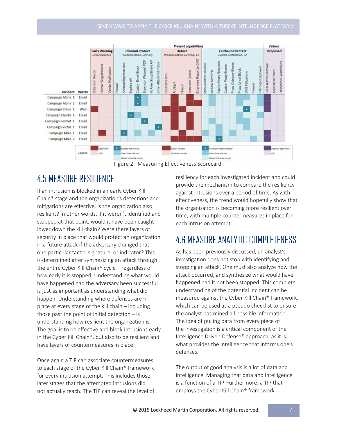

Figure 2: Measuring Effectiveness Scorecard

## 4.5 MEASURE RESILIENCE

If an intrusion is blocked in an early Cyber Kill Chain® stage and the organization's detections and mitigations are effective, is the organization also resilient? In other words, if it weren't identified and stopped at that point, would it have been caught lower down the kill chain? Were there layers of security in place that would protect an organization in a future attack if the adversary changed that one particular tactic, signature, or indicator? This is determined after synthesizing an attack through the entire Cyber Kill Chain® cycle – regardless of how early it is stopped. Understanding what would have happened had the adversary been successful is just as important as understanding what did happen. Understanding where defenses are in place at every stage of the kill chain – including those past the point of initial detection  $-$  is understanding how resilient the organization is. The goal is to be effective and block intrusions early in the Cyber Kill Chain®, but also to be resilient and have layers of countermeasures in place.

Once again a TIP can associate countermeasures to each stage of the Cyber Kill Chain® framework for every intrusion attempt. This includes those later stages that the attempted intrusions did not actually reach. The TIP can reveal the level of

resiliency for each investigated incident and could provide the mechanism to compare the resiliency against intrusions over a period of time. As with effectiveness, the trend would hopefully show that the organization is becoming more resilient over time, with multiple countermeasures in place for each intrusion attempt.

### 4.6 MEASURE ANALYTIC COMPLETENESS

As has been previously discussed, an analyst's investigation does not stop with identifying and stopping an attack. One must also analyze how the attack occurred, and synthesize what would have happened had it not been stopped. This complete understanding of the potential incident can be measured against the Cyber Kill Chain® framework, which can be used as a pseudo checklist to ensure the analyst has mined all possible information. The idea of pulling data from every piece of the investigation is a critical component of the Intelligence Driven Defense® approach, as it is what provides the intelligence that informs one's defenses.

The output of good analysis is a lot of data and intelligence. Managing that data and intelligence is a function of a TIP. Furthermore, a TIP that employs the Cyber Kill Chain® framework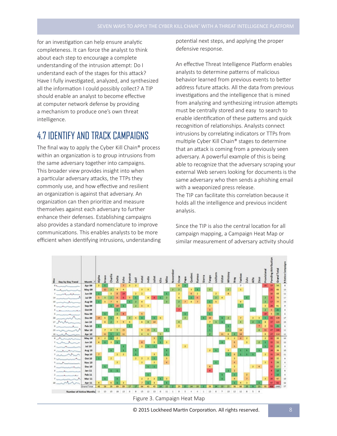for an investigation can help ensure analytic completeness. It can force the analyst to think about each step to encourage a complete understanding of the intrusion attempt: Do I understand each of the stages for this attack? Have I fully investigated, analyzed, and synthesized all the information I could possibly collect? A TIP should enable an analyst to become effective at computer network defense by providing a mechanism to produce one's own threat intelligence.

#### 4.7 IDENTIFY AND TRACK CAMPAIGNS

The final way to apply the Cyber Kill Chain® process within an organization is to group intrusions from the same adversary together into campaigns. This broader view provides insight into when a particular adversary attacks, the TTPs they commonly use, and how effective and resilient an organization is against that adversary. An organization can then prioritize and measure themselves against each adversary to further enhance their defenses. Establishing campaigns also provides a standard nomenclature to improve communications. This enables analysts to be more efficient when identifying intrusions, understanding potential next steps, and applying the proper defensive response.

An effective Threat Intelligence Platform enables analysts to determine patterns of malicious behavior learned from previous events to better address future attacks. All the data from previous investigations and the intelligence that is mined from analyzing and synthesizing intrusion attempts must be centrally stored and easy to search to enable identification of these patterns and quick recognition of relationships. Analysts connect intrusions by correlating indicators or TTPs from multiple Cyber Kill Chain® stages to determine that an attack is coming from a previously seen adversary. A powerful example of this is being able to recognize that the adversary scraping your external Web servers looking for documents is the same adversary who then sends a phishing email with a weaponized press release. The TIP can facilitate this correlation because it

holds all the intelligence and previous incident analysis.

Since the TIP is also the central location for all campaign mapping, a Campaign Heat Map or similar measurement of adversary activity should



© 2015 Lockheed Martin Corporation. All rights reserved.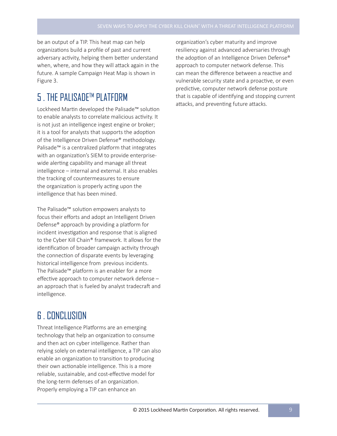be an output of a TIP. This heat map can help organizations build a profile of past and current adversary activity, helping them better understand when, where, and how they will attack again in the future. A sample Campaign Heat Map is shown in Figure 3.

#### **5** THE PALISADE™ PLATEDRM

Lockheed Martin developed the Palisade™ solution to enable analysts to correlate malicious activity. It is not just an intelligence ingest engine or broker; it is a tool for analysts that supports the adoption of the Intelligence Driven Defense® methodology. Palisade™ is a centralized platform that integrates with an organization's SIEM to provide enterprisewide alerting capability and manage all threat intelligence – internal and external. It also enables the tracking of countermeasures to ensure the organization is properly acting upon the intelligence that has been mined.

The Palisade™ solution empowers analysts to focus their efforts and adopt an Intelligent Driven Defense® approach by providing a platform for incident investigation and response that is aligned to the Cyber Kill Chain® framework. It allows for the identification of broader campaign activity through the connection of disparate events by leveraging historical intelligence from previous incidents. The Palisade™ platform is an enabler for a more effective approach to computer network defense – an approach that is fueled by analyst tradecraft and intelligence.

#### 6 . CONCLUSION

Threat Intelligence Platforms are an emerging technology that help an organization to consume and then act on cyber intelligence. Rather than relying solely on external intelligence, a TIP can also enable an organization to transition to producing their own actionable intelligence. This is a more reliable, sustainable, and cost-effective model for the long-term defenses of an organization. Properly employing a TIP can enhance an

organization's cyber maturity and improve resiliency against advanced adversaries through the adoption of an Intelligence Driven Defense® approach to computer network defense. This can mean the difference between a reactive and vulnerable security state and a proactive, or even predictive, computer network defense posture that is capable of identifying and stopping current attacks, and preventing future attacks.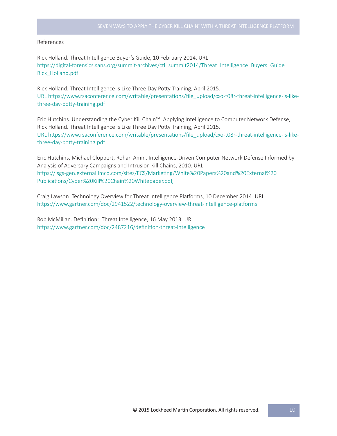#### References

Rick Holland. Threat Intelligence Buyer's Guide, 10 February 2014. URL https://digital-forensics.sans.org/summit-archives/cti\_summit2014/Threat\_Intelligence\_Buyers\_Guide\_ Rick\_Holland.pdf

Rick Holland. Threat Intelligence is Like Three Day Potty Training, April 2015. URL https://www.rsaconference.com/writable/presentations/file\_upload/cxo-t08r-threat-intelligence-is-likethree-day-potty-training.pdf

Eric Hutchins. Understanding the Cyber Kill Chain™: Applying Intelligence to Computer Network Defense, Rick Holland. Threat Intelligence is Like Three Day Potty Training, April 2015. URL https://www.rsaconference.com/writable/presentations/file\_upload/cxo-t08r-threat-intelligence-is-likethree-day-potty-training.pdf

Eric Hutchins, Michael Cloppert, Rohan Amin. Intelligence-Driven Computer Network Defense Informed by Analysis of Adversary Campaigns and Intrusion Kill Chains, 2010. URL https://isgs-gen.external.lmco.com/sites/ECS/Marketing/White%20Papers%20and%20External%20 Publications/Cyber%20Kill%20Chain%20Whitepaper.pdf,

Craig Lawson. Technology Overview for Threat Intelligence Platforms, 10 December 2014. URL https://www.gartner.com/doc/2941522/technology-overview-threat-intelligence-platforms

Rob McMillan. Definition: Threat Intelligence, 16 May 2013. URL https://www.gartner.com/doc/2487216/definition-threat-intelligence